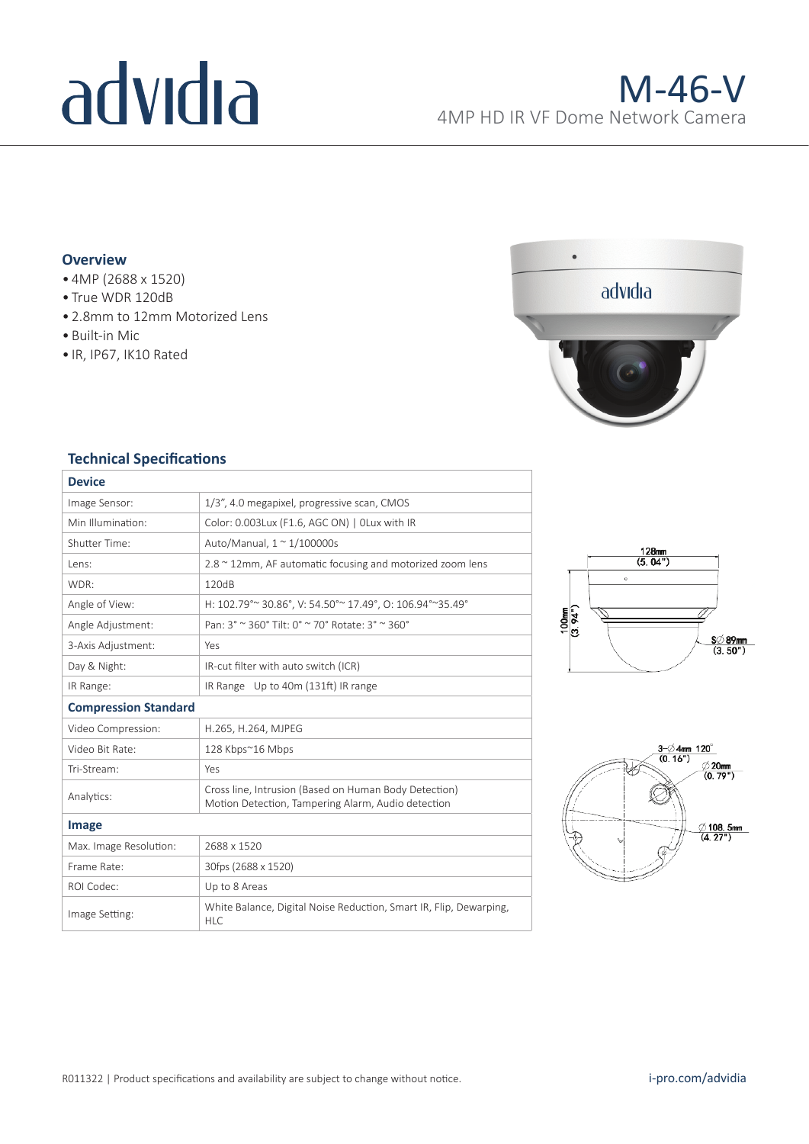# advidia

## **Overview**

- 4MP (2688 x 1520)
- True WDR 120dB
- 2.8mm to 12mm Motorized Lens
- Built-in Mic
- IR, IP67, IK10 Rated



### **Technical Specifications**

| <b>Device</b>               |                                                                                                             |  |  |
|-----------------------------|-------------------------------------------------------------------------------------------------------------|--|--|
| Image Sensor:               | 1/3", 4.0 megapixel, progressive scan, CMOS                                                                 |  |  |
| Min Illumination:           | Color: 0.003Lux (F1.6, AGC ON)   OLux with IR                                                               |  |  |
| Shutter Time:               | Auto/Manual, $1 \approx 1/100000$ s                                                                         |  |  |
| Lens:                       | 2.8 ~ 12mm, AF automatic focusing and motorized zoom lens                                                   |  |  |
| WDR:                        | 120dB                                                                                                       |  |  |
| Angle of View:              | H: 102.79° ~ 30.86°, V: 54.50° ~ 17.49°, O: 106.94° ~ 35.49°                                                |  |  |
| Angle Adjustment:           | Pan: 3° ~ 360° Tilt: 0° ~ 70° Rotate: 3° ~ 360°                                                             |  |  |
| 3-Axis Adjustment:          | Yes                                                                                                         |  |  |
| Day & Night:                | IR-cut filter with auto switch (ICR)                                                                        |  |  |
| IR Range:                   | IR Range Up to 40m (131ft) IR range                                                                         |  |  |
| <b>Compression Standard</b> |                                                                                                             |  |  |
| Video Compression:          | H.265, H.264, MJPEG                                                                                         |  |  |
| Video Bit Rate:             | 128 Kbps~16 Mbps                                                                                            |  |  |
| Tri-Stream:                 | Yes                                                                                                         |  |  |
| Analytics:                  | Cross line, Intrusion (Based on Human Body Detection)<br>Motion Detection, Tampering Alarm, Audio detection |  |  |
| Image                       |                                                                                                             |  |  |
| Max. Image Resolution:      | 2688 x 1520                                                                                                 |  |  |
| Frame Rate:                 | 30fps (2688 x 1520)                                                                                         |  |  |
| ROI Codec:                  | Up to 8 Areas                                                                                               |  |  |
| Image Setting:              | White Balance, Digital Noise Reduction, Smart IR, Flip, Dewarping,<br><b>HLC</b>                            |  |  |